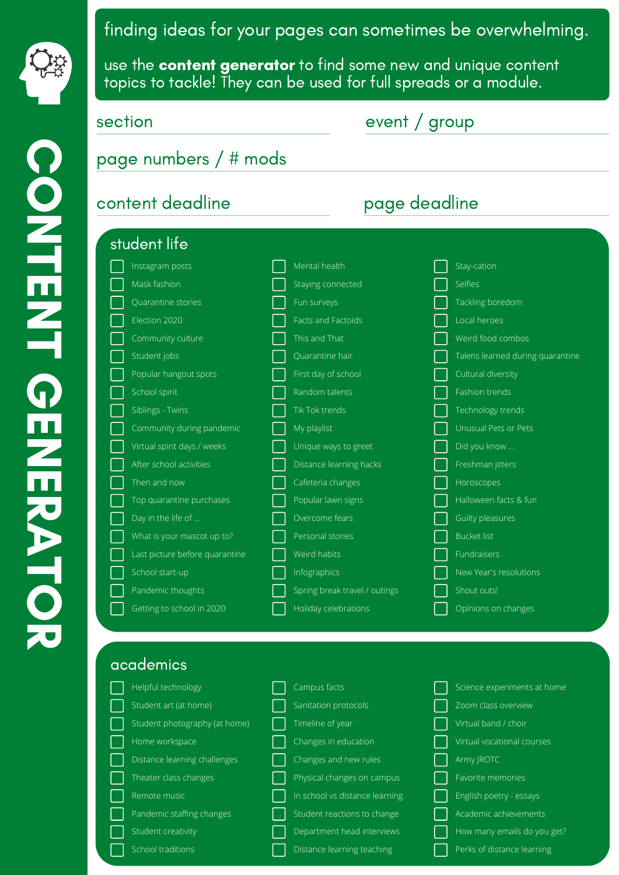

use the **content generator** to find some new and unique content topics to tackle! They can be used for full spreads or a module.

| content deadline               | page deadline                 |                            |  |  |  |
|--------------------------------|-------------------------------|----------------------------|--|--|--|
| student life                   |                               |                            |  |  |  |
| Instagram posts                | Mental health                 | Stay-cation                |  |  |  |
| Mask fashion                   | Staying connected             | Selfies                    |  |  |  |
| Quarantine stories             | Fun surveys                   | Tackling boredom           |  |  |  |
| Election 2020                  | Facts and Factoids            | Local heroes               |  |  |  |
| Community culture              | This and That                 | Weird food combos          |  |  |  |
| Student jobs                   | Quarantine hair               | Talens learned during quar |  |  |  |
| Popular hangout spots          | First day of school           | Cultural diversity         |  |  |  |
| School spirit                  | Random talents                | Fashion trends             |  |  |  |
| Siblings - Twins               | Tik Tok trends                | Technology trends          |  |  |  |
| Community during pandemic      | My playlist                   | Unusual Pets or Pets       |  |  |  |
| Virtual spirit days / weeks    | Unique ways to greet          | Did you know               |  |  |  |
| After school activities        | Distance learning hacks       | Freshman jitters           |  |  |  |
| Then and now                   | Cafeteria changes             | Horoscopes                 |  |  |  |
| Top quarantine purchases       | Popular lawn signs            | Halloween facts & fun      |  |  |  |
| Day in the life of             | Overcome fears                | Guilty pleasures           |  |  |  |
| What is your mascot up to?     | Personal stories              | <b>Bucket list</b>         |  |  |  |
| Last picture before quarantine | Weird habits                  | <b>Fundraisers</b>         |  |  |  |
| School start-up                | Infographics                  | New Year's resolutions     |  |  |  |
| Pandemic thoughts              | Spring break travel / outings | Shout outs!                |  |  |  |
| Getting to school in 2020      | Holiday celebrations          | Opinions on changes        |  |  |  |

antine

## academics

| Helpful technology            | Campus facts                   | Science experiments at home |
|-------------------------------|--------------------------------|-----------------------------|
| Student art (at home)         | Sanitation protocols           | Zoom class overview         |
| Student photography (at home) | Timeline of year               | Virtual band / choir        |
| Home workspace                | Changes in education           | Virtual vocational courses  |
| Distance learning challenges  | Changes and new rules          | Army JROTC                  |
| Theater class changes         | Physical changes on campus     | Favorite memories           |
| Remote music                  | In school vs distance learning | English poetry - essays     |
| Pandemic staffing changes     | Student reactions to change    | Academic achievements       |
| Student creativity            | Department head interviews     | How many emails do you get? |
| School traditions             | Distance learning teaching     | Perks of distance learning  |